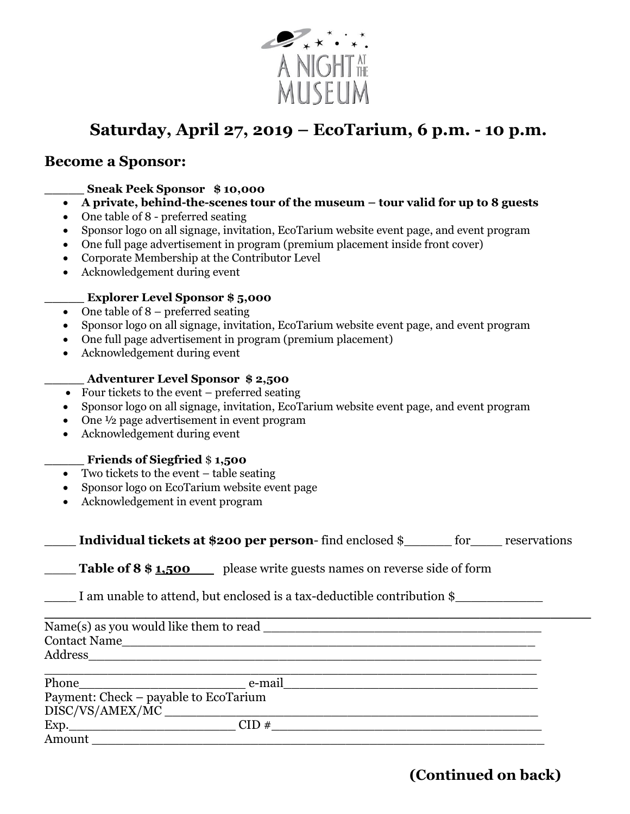

# **Saturday, April 27, 2019 – EcoTarium, 6 p.m. - 10 p.m.**

### **Become a Sponsor:**

- **\_\_\_\_\_ Sneak Peek Sponsor \$ 10,000**
- **A private, behind-the-scenes tour of the museum** *–* **tour valid for up to 8 guests**
- One table of 8 preferred seating
- Sponsor logo on all signage, invitation, EcoTarium website event page, and event program
- One full page advertisement in program (premium placement inside front cover)
- Corporate Membership at the Contributor Level
- Acknowledgement during event

#### **\_\_\_\_\_ Explorer Level Sponsor \$ 5,000**

- $\bullet$  One table of 8 preferred seating
- Sponsor logo on all signage, invitation, EcoTarium website event page, and event program
- One full page advertisement in program (premium placement)
- Acknowledgement during event

#### **\_\_\_\_\_ Adventurer Level Sponsor \$ 2,500**

- Four tickets to the event preferred seating
- Sponsor logo on all signage, invitation, EcoTarium website event page, and event program
- One  $\frac{1}{2}$  page advertisement in event program
- Acknowledgement during event

#### **\_\_\_\_\_ Friends of Siegfried** \$ **1,500**

- $\overline{\bullet}$  Two tickets to the event table seating
- Sponsor logo on EcoTarium website event page
- Acknowledgement in event program

| Individual tickets at \$200 per person-find enclosed $\S$ |  |  | tor | reservations |
|-----------------------------------------------------------|--|--|-----|--------------|
|-----------------------------------------------------------|--|--|-----|--------------|

**Table of 8 \$1,500** please write guests names on reverse side of form

I am unable to attend, but enclosed is a tax-deductible contribution \$

**\_\_\_\_\_\_\_\_\_\_\_\_\_\_\_\_\_\_\_\_\_\_\_\_\_\_\_\_\_\_\_\_\_\_\_\_\_\_\_\_\_\_\_\_\_\_\_\_\_\_\_\_\_\_** Name(s) as you would like them to read \_\_\_\_\_\_\_\_\_\_\_\_\_\_\_\_\_\_\_\_\_\_\_\_\_\_\_\_\_\_\_\_\_\_\_ Contact Name Address

| Phone                                 | e-mail |  |
|---------------------------------------|--------|--|
| Payment: Check – payable to EcoTarium |        |  |
| DISC/VS/AMEX/MC ___                   |        |  |
| Exp.                                  | CID#   |  |
| Amount                                |        |  |

### **(Continued on back)**